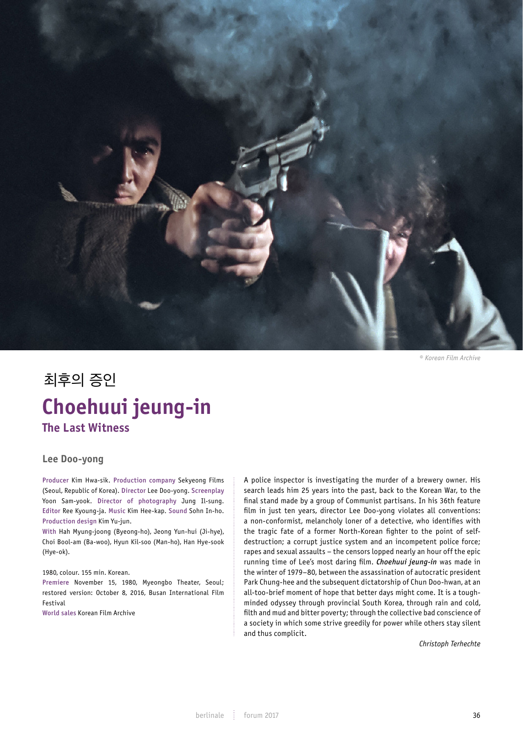

*© Korean Film Archive*

# 최후의 증인 Choehuui jeung-in **Choehuui jeung-in The Last Witness**

# **Lee Doo-yong**

Producer Kim Hwa-sik. Production company Sekyeong Films<br>Casul Banublic of Karea), Director Lee Des verw. Sereorglav (Seoul, Republic of Korea). Director Lee Doo-yong. Screenplay Yoon Sam-yook. Director of photography Jung Il-sung. Editor Ree Kyoung-ja. Music Kim Hee-kap. Sound Sohn In-ho. Production design Kim Yu-jun.<br>With Uah Muung isang (Busang b

With Hah Myung-joong (Byeong-ho), Jeong Yun-hui (Ji-hye), Choi Bool-am (Ba-woo), Hyun Kil-soo (Man-ho), Han Hye-sook (Hye-ok).

## 1980, colour. 155 min. Korean.

Premiere November 15, 1980, Myeongbo Theater, Seoul; restored version: October 8, 2016, Busan International Film<br>Fectival Festival

World sales Korean Film Archive

A police inspector is investigating the murder of a brewery owner. His search leads him 25 years into the past, back to the Korean War, to the final stand made by a group of Communist partisans. In his 36th feature film in just ten years, director Lee Doo-yong violates all conventions: a non-conformist, melancholy loner of a detective, who identifies with the tragic fate of a former North-Korean fighter to the point of selfdestruction; a corrupt justice system and an incompetent police force; rapes and sexual assaults – the censors lopped nearly an hour off the epic running time of Lee's most daring film. *Choehuui jeung-in* was made in the winter of 1979–80, between the assassination of autocratic president Park Chung-hee and the subsequent dictatorship of Chun Doo-hwan, at an all-too-brief moment of hope that better days might come. It is a toughminded odyssey through provincial South Korea, through rain and cold, filth and mud and bitter poverty; through the collective bad conscience of a society in which some strive greedily for power while others stay silent and thus complicit.

*Christoph Terhechte*